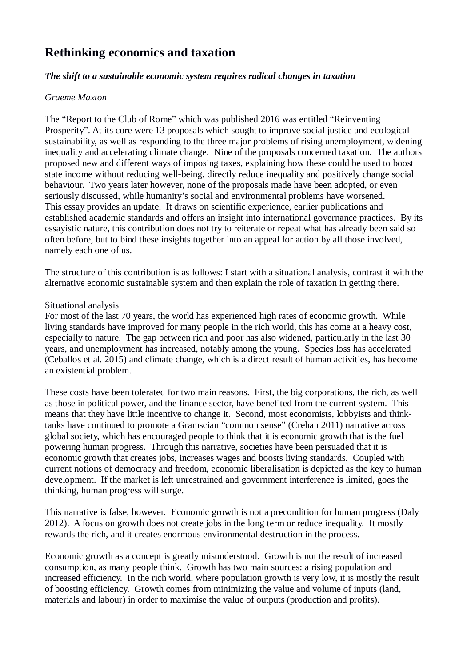# **Rethinking economics and taxation**

### *The shift to a sustainable economic system requires radical changes in taxation*

#### *Graeme Maxton*

The "Report to the Club of Rome" which was published 2016 was entitled "Reinventing Prosperity". At its core were 13 proposals which sought to improve social justice and ecological sustainability, as well as responding to the three major problems of rising unemployment, widening inequality and accelerating climate change. Nine of the proposals concerned taxation. The authors proposed new and different ways of imposing taxes, explaining how these could be used to boost state income without reducing well-being, directly reduce inequality and positively change social behaviour. Two years later however, none of the proposals made have been adopted, or even seriously discussed, while humanity's social and environmental problems have worsened. This essay provides an update. It draws on scientific experience, earlier publications and established academic standards and offers an insight into international governance practices. By its essayistic nature, this contribution does not try to reiterate or repeat what has already been said so often before, but to bind these insights together into an appeal for action by all those involved, namely each one of us.

The structure of this contribution is as follows: I start with a situational analysis, contrast it with the alternative economic sustainable system and then explain the role of taxation in getting there.

### Situational analysis

For most of the last 70 years, the world has experienced high rates of economic growth. While living standards have improved for many people in the rich world, this has come at a heavy cost, especially to nature. The gap between rich and poor has also widened, particularly in the last 30 years, and unemployment has increased, notably among the young. Species loss has accelerated (Ceballos et al. 2015) and climate change, which is a direct result of human activities, has become an existential problem.

These costs have been tolerated for two main reasons. First, the big corporations, the rich, as well as those in political power, and the finance sector, have benefited from the current system. This means that they have little incentive to change it. Second, most economists, lobbyists and thinktanks have continued to promote a Gramscian "common sense" (Crehan 2011) narrative across global society, which has encouraged people to think that it is economic growth that is the fuel powering human progress. Through this narrative, societies have been persuaded that it is economic growth that creates jobs, increases wages and boosts living standards. Coupled with current notions of democracy and freedom, economic liberalisation is depicted as the key to human development. If the market is left unrestrained and government interference is limited, goes the thinking, human progress will surge.

This narrative is false, however. Economic growth is not a precondition for human progress (Daly 2012). A focus on growth does not create jobs in the long term or reduce inequality. It mostly rewards the rich, and it creates enormous environmental destruction in the process.

Economic growth as a concept is greatly misunderstood. Growth is not the result of increased consumption, as many people think. Growth has two main sources: a rising population and increased efficiency. In the rich world, where population growth is very low, it is mostly the result of boosting efficiency. Growth comes from minimizing the value and volume of inputs (land, materials and labour) in order to maximise the value of outputs (production and profits).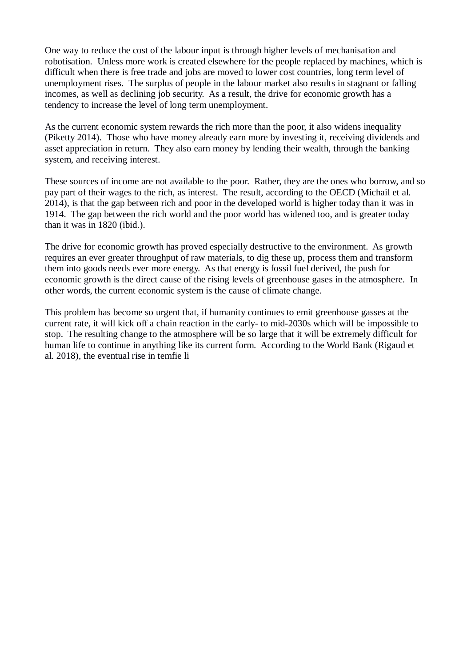One way to reduce the cost of the labour input is through higher levels of mechanisation and robotisation. Unless more work is created elsewhere for the people replaced by machines, which is difficult when there is free trade and jobs are moved to lower cost countries, long term level of unemployment rises. The surplus of people in the labour market also results in stagnant or falling incomes, as well as declining job security. As a result, the drive for economic growth has a tendency to increase the level of long term unemployment.

As the current economic system rewards the rich more than the poor, it also widens inequality (Piketty 2014). Those who have money already earn more by investing it, receiving dividends and asset appreciation in return. They also earn money by lending their wealth, through the banking system, and receiving interest.

These sources of income are not available to the poor. Rather, they are the ones who borrow, and so pay part of their wages to the rich, as interest. The result, according to the OECD (Michail et al. 2014), is that the gap between rich and poor in the developed world is higher today than it was in 1914. The gap between the rich world and the poor world has widened too, and is greater today than it was in 1820 (ibid.).

The drive for economic growth has proved especially destructive to the environment. As growth requires an ever greater throughput of raw materials, to dig these up, process them and transform them into goods needs ever more energy. As that energy is fossil fuel derived, the push for economic growth is the direct cause of the rising levels of greenhouse gases in the atmosphere. In other words, the current economic system is the cause of climate change.

This problem has become so urgent that, if humanity continues to emit greenhouse gasses at the current rate, it will kick off a chain reaction in the early- to mid-2030s which will be impossible to stop. The resulting change to the atmosphere will be so large that it will be extremely difficult for human life to continue in anything like its current form. According to the World Bank (Rigaud et al.  $2018$ ), the eventual rise in temfie lie, emfes lg s)juemffig eeej-0.156m,048. Tc (e) 2048 Tc (e) Tj0.12 Tc (...) FP (T24 ajdtil 147 j to 24) TEjjti) To 24 gabi lind i line kati TT (10)2T (oc 1(a))) "I jto 2541 ET (m)le). 142 dasauje tida 2 tigliej to (14 ej f().(24%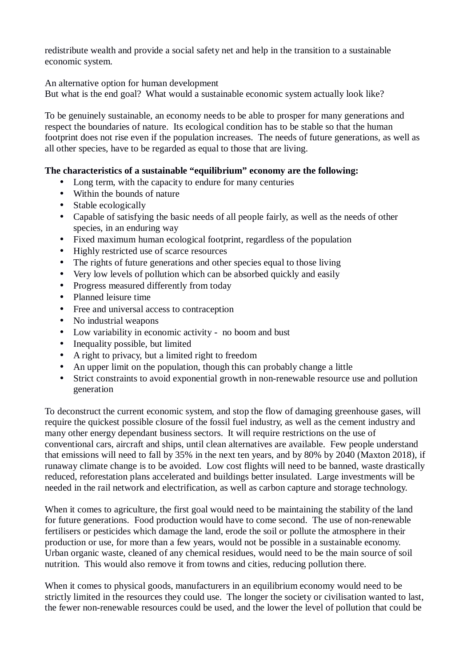redistribute wealth and provide a social safety net and help in the transition to a sustainable economic system.

An alternative option for human development

But what is the end goal? What would a sustainable economic system actually look like?

To be genuinely sustainable, an economy needs to be able to prosper for many generations and respect the boundaries of nature. Its ecological condition has to be stable so that the human footprint does not rise even if the population increases. The needs of future generations, as well as all other species, have to be regarded as equal to those that are living.

## **The characteristics of a sustainable "equilibrium" economy are the following:**

- Long term, with the capacity to endure for many centuries
- Within the bounds of nature
- Stable ecologically
- Capable of satisfying the basic needs of all people fairly, as well as the needs of other species, in an enduring way
- Fixed maximum human ecological footprint, regardless of the population
- Highly restricted use of scarce resources
- The rights of future generations and other species equal to those living
- Very low levels of pollution which can be absorbed quickly and easily
- Progress measured differently from today
- Planned leisure time
- Free and universal access to contraception
- No industrial weapons
- Low variability in economic activity no boom and bust
- Inequality possible, but limited
- A right to privacy, but a limited right to freedom
- An upper limit on the population, though this can probably change a little
- Strict constraints to avoid exponential growth in non-renewable resource use and pollution generation

To deconstruct the current economic system, and stop the flow of damaging greenhouse gases, will require the quickest possible closure of the fossil fuel industry, as well as the cement industry and many other energy dependant business sectors. It will require restrictions on the use of conventional cars, aircraft and ships, until clean alternatives are available. Few people understand that emissions will need to fall by 35% in the next ten years, and by 80% by 2040 (Maxton 2018), if runaway climate change is to be avoided. Low cost flights will need to be banned, waste drastically reduced, reforestation plans accelerated and buildings better insulated. Large investments will be needed in the rail network and electrification, as well as carbon capture and storage technology.

When it comes to agriculture, the first goal would need to be maintaining the stability of the land for future generations. Food production would have to come second. The use of non-renewable fertilisers or pesticides which damage the land, erode the soil or pollute the atmosphere in their production or use, for more than a few years, would not be possible in a sustainable economy. Urban organic waste, cleaned of any chemical residues, would need to be the main source of soil nutrition. This would also remove it from towns and cities, reducing pollution there.

When it comes to physical goods, manufacturers in an equilibrium economy would need to be strictly limited in the resources they could use. The longer the society or civilisation wanted to last, the fewer non-renewable resources could be used, and the lower the level of pollution that could be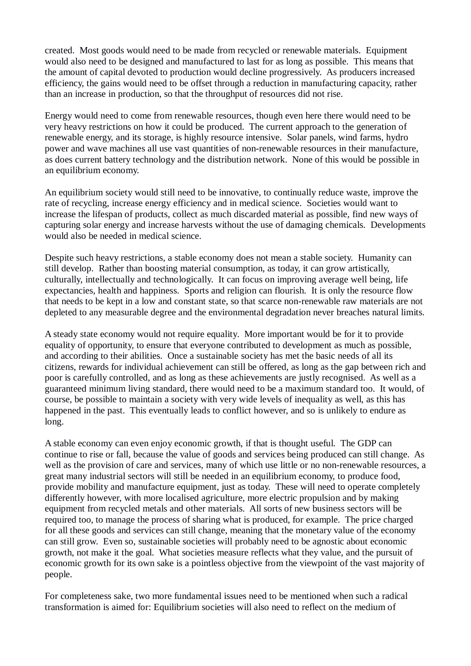created. Most goods would need to be made from recycled or renewable materials. Equipment would also need to be designed and manufactured to last for as long as possible. This means that the amount of capital devoted to production would decline progressively. As producers increased efficiency, the gains would need to be offset through a reduction in manufacturing capacity, rather than an increase in production, so that the throughput of resources did not rise.

Energy would need to come from renewable resources, though even here there would need to be very heavy restrictions on how it could be produced. The current approach to the generation of renewable energy, and its storage, is highly resource intensive. Solar panels, wind farms, hydro power and wave machines all use vast quantities of non-renewable resources in their manufacture, as does current battery technology and the distribution network. None of this would be possible in an equilibrium economy.

An equilibrium society would still need to be innovative, to continually reduce waste, improve the rate of recycling, increase energy efficiency and in medical science. Societies would want to increase the lifespan of products, collect as much discarded material as possible, find new ways of capturing solar energy and increase harvests without the use of damaging chemicals. Developments would also be needed in medical science.

Despite such heavy restrictions, a stable economy does not mean a stable society. Humanity can still develop. Rather than boosting material consumption, as today, it can grow artistically, culturally, intellectually and technologically. It can focus on improving average well being, life expectancies, health and happiness. Sports and religion can flourish. It is only the resource flow that needs to be kept in a low and constant state, so that scarce non-renewable raw materials are not depleted to any measurable degree and the environmental degradation never breaches natural limits.

A steady state economy would not require equality. More important would be for it to provide equality of opportunity, to ensure that everyone contributed to development as much as possible, and according to their abilities. Once a sustainable society has met the basic needs of all its citizens, rewards for individual achievement can still be offered, as long as the gap between rich and poor is carefully controlled, and as long as these achievements are justly recognised. As well as a guaranteed minimum living standard, there would need to be a maximum standard too. It would, of course, be possible to maintain a society with very wide levels of inequality as well, as this has happened in the past. This eventually leads to conflict however, and so is unlikely to endure as long.

A stable economy can even enjoy economic growth, if that is thought useful. The GDP can continue to rise or fall, because the value of goods and services being produced can still change. As well as the provision of care and services, many of which use little or no non-renewable resources, a great many industrial sectors will still be needed in an equilibrium economy, to produce food, provide mobility and manufacture equipment, just as today. These will need to operate completely differently however, with more localised agriculture, more electric propulsion and by making equipment from recycled metals and other materials. All sorts of new business sectors will be required too, to manage the process of sharing what is produced, for example. The price charged for all these goods and services can still change, meaning that the monetary value of the economy can still grow. Even so, sustainable societies will probably need to be agnostic about economic growth, not make it the goal. What societies measure reflects what they value, and the pursuit of economic growth for its own sake is a pointless objective from the viewpoint of the vast majority of people.

For completeness sake, two more fundamental issues need to be mentioned when such a radical transformation is aimed for: Equilibrium societies will also need to reflect on the medium of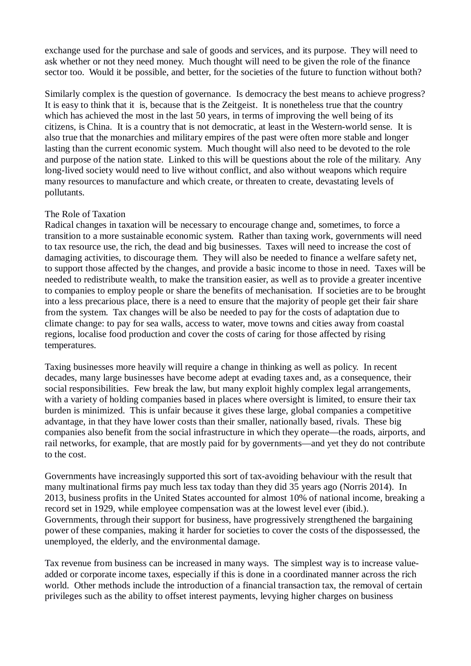exchange used for the purchase and sale of goods and services, and its purpose. They will need to ask whether or not they need money. Much thought will need to be given the role of the finance sector too. Would it be possible, and better, for the societies of the future to function without both?

Similarly complex is the question of governance. Is democracy the best means to achieve progress? It is easy to think that it is, because that is the Zeitgeist. It is nonetheless true that the country which has achieved the most in the last 50 years, in terms of improving the well being of its citizens, is China. It is a country that is not democratic, at least in the Western-world sense. It is also true that the monarchies and military empires of the past were often more stable and longer lasting than the current economic system. Much thought will also need to be devoted to the role and purpose of the nation state. Linked to this will be questions about the role of the military. Any long-lived society would need to live without conflict, and also without weapons which require many resources to manufacture and which create, or threaten to create, devastating levels of pollutants.

#### The Role of Taxation

Radical changes in taxation will be necessary to encourage change and, sometimes, to force a transition to a more sustainable economic system. Rather than taxing work, governments will need to tax resource use, the rich, the dead and big businesses. Taxes will need to increase the cost of damaging activities, to discourage them. They will also be needed to finance a welfare safety net, to support those affected by the changes, and provide a basic income to those in need. Taxes will be needed to redistribute wealth, to make the transition easier, as well as to provide a greater incentive to companies to employ people or share the benefits of mechanisation. If societies are to be brought into a less precarious place, there is a need to ensure that the majority of people get their fair share from the system. Tax changes will be also be needed to pay for the costs of adaptation due to climate change: to pay for sea walls, access to water, move towns and cities away from coastal regions, localise food production and cover the costs of caring for those affected by rising temperatures.

Taxing businesses more heavily will require a change in thinking as well as policy. In recent decades, many large businesses have become adept at evading taxes and, as a consequence, their social responsibilities. Few break the law, but many exploit highly complex legal arrangements, with a variety of holding companies based in places where oversight is limited, to ensure their tax burden is minimized. This is unfair because it gives these large, global companies a competitive advantage, in that they have lower costs than their smaller, nationally based, rivals. These big companies also benefit from the social infrastructure in which they operate—the roads, airports, and rail networks, for example, that are mostly paid for by governments—and yet they do not contribute to the cost.

Governments have increasingly supported this sort of tax-avoiding behaviour with the result that many multinational firms pay much less tax today than they did 35 years ago (Norris 2014). In 2013, business profits in the United States accounted for almost 10% of national income, breaking a record set in 1929, while employee compensation was at the lowest level ever (ibid.). Governments, through their support for business, have progressively strengthened the bargaining power of these companies, making it harder for societies to cover the costs of the dispossessed, the unemployed, the elderly, and the environmental damage.

Tax revenue from business can be increased in many ways. The simplest way is to increase valueadded or corporate income taxes, especially if this is done in a coordinated manner across the rich world. Other methods include the introduction of a financial transaction tax, the removal of certain privileges such as the ability to offset interest payments, levying higher charges on business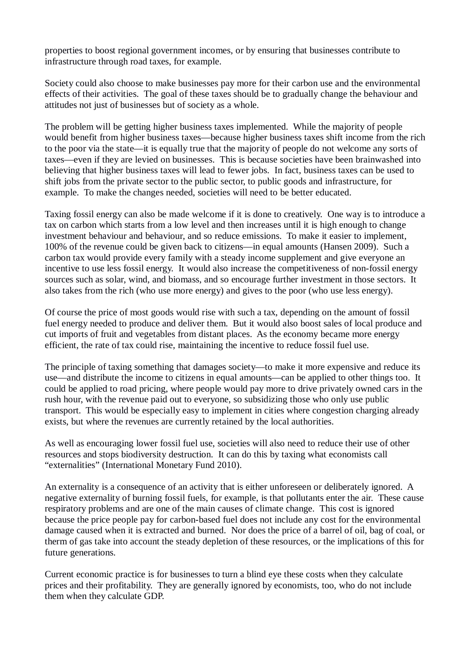properties to boost regional government incomes, or by ensuring that businesses contribute to infrastructure through road taxes, for example.

Society could also choose to make businesses pay more for their carbon use and the environmental effects of their activities. The goal of these taxes should be to gradually change the behaviour and attitudes not just of businesses but of society as a whole.

The problem will be getting higher business taxes implemented. While the majority of people would benefit from higher business taxes—because higher business taxes shift income from the rich to the poor via the state—it is equally true that the majority of people do not welcome any sorts of taxes—even if they are levied on businesses. This is because societies have been brainwashed into believing that higher business taxes will lead to fewer jobs. In fact, business taxes can be used to shift jobs from the private sector to the public sector, to public goods and infrastructure, for example. To make the changes needed, societies will need to be better educated.

Taxing fossil energy can also be made welcome if it is done to creatively. One way is to introduce a tax on carbon which starts from a low level and then increases until it is high enough to change investment behaviour and behaviour, and so reduce emissions. To make it easier to implement, 100% of the revenue could be given back to citizens—in equal amounts (Hansen 2009). Such a carbon tax would provide every family with a steady income supplement and give everyone an incentive to use less fossil energy. It would also increase the competitiveness of non-fossil energy sources such as solar, wind, and biomass, and so encourage further investment in those sectors. It also takes from the rich (who use more energy) and gives to the poor (who use less energy).

Of course the price of most goods would rise with such a tax, depending on the amount of fossil fuel energy needed to produce and deliver them. But it would also boost sales of local produce and cut imports of fruit and vegetables from distant places. As the economy became more energy efficient, the rate of tax could rise, maintaining the incentive to reduce fossil fuel use.

The principle of taxing something that damages society—to make it more expensive and reduce its use—and distribute the income to citizens in equal amounts—can be applied to other things too. It could be applied to road pricing, where people would pay more to drive privately owned cars in the rush hour, with the revenue paid out to everyone, so subsidizing those who only use public transport. This would be especially easy to implement in cities where congestion charging already exists, but where the revenues are currently retained by the local authorities.

As well as encouraging lower fossil fuel use, societies will also need to reduce their use of other resources and stops biodiversity destruction. It can do this by taxing what economists call "externalities" (International Monetary Fund 2010).

An externality is a consequence of an activity that is either unforeseen or deliberately ignored. A negative externality of burning fossil fuels, for example, is that pollutants enter the air. These cause respiratory problems and are one of the main causes of climate change. This cost is ignored because the price people pay for carbon-based fuel does not include any cost for the environmental damage caused when it is extracted and burned. Nor does the price of a barrel of oil, bag of coal, or therm of gas take into account the steady depletion of these resources, or the implications of this for future generations.

Current economic practice is for businesses to turn a blind eye these costs when they calculate prices and their profitability. They are generally ignored by economists, too, who do not include them when they calculate GDP.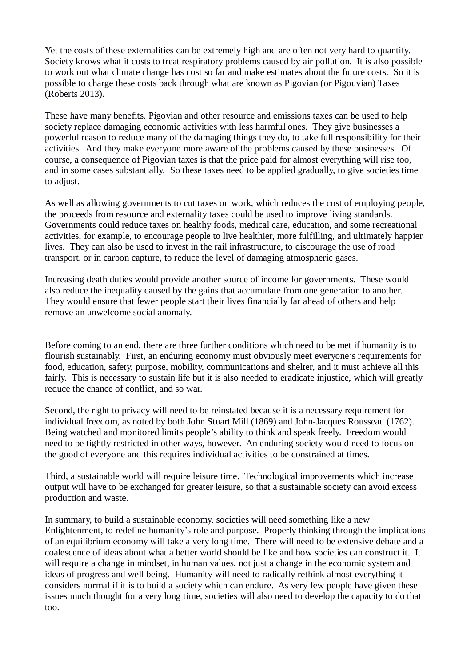Yet the costs of these externalities can be extremely high and are often not very hard to quantify. Society knows what it costs to treat respiratory problems caused by air pollution. It is also possible to work out what climate change has cost so far and make estimates about the future costs. So it is possible to charge these costs back through what are known as Pigovian (or Pigouvian) Taxes (Roberts 2013).

These have many benefits. Pigovian and other resource and emissions taxes can be used to help society replace damaging economic activities with less harmful ones. They give businesses a powerful reason to reduce many of the damaging things they do, to take full responsibility for their activities. And they make everyone more aware of the problems caused by these businesses. Of course, a consequence of Pigovian taxes is that the price paid for almost everything will rise too, and in some cases substantially. So these taxes need to be applied gradually, to give societies time to adjust.

As well as allowing governments to cut taxes on work, which reduces the cost of employing people, the proceeds from resource and externality taxes could be used to improve living standards. Governments could reduce taxes on healthy foods, medical care, education, and some recreational activities, for example, to encourage people to live healthier, more fulfilling, and ultimately happier lives. They can also be used to invest in the rail infrastructure, to discourage the use of road transport, or in carbon capture, to reduce the level of damaging atmospheric gases.

Increasing death duties would provide another source of income for governments. These would also reduce the inequality caused by the gains that accumulate from one generation to another. They would ensure that fewer people start their lives financially far ahead of others and help remove an unwelcome social anomaly.

Before coming to an end, there are three further conditions which need to be met if humanity is to flourish sustainably. First, an enduring economy must obviously meet everyone's requirements for food, education, safety, purpose, mobility, communications and shelter, and it must achieve all this fairly. This is necessary to sustain life but it is also needed to eradicate injustice, which will greatly reduce the chance of conflict, and so war.

Second, the right to privacy will need to be reinstated because it is a necessary requirement for individual freedom, as noted by both John Stuart Mill (1869) and John-Jacques Rousseau (1762). Being watched and monitored limits people's ability to think and speak freely. Freedom would need to be tightly restricted in other ways, however. An enduring society would need to focus on the good of everyone and this requires individual activities to be constrained at times.

Third, a sustainable world will require leisure time. Technological improvements which increase output will have to be exchanged for greater leisure, so that a sustainable society can avoid excess production and waste.

In summary, to build a sustainable economy, societies will need something like a new Enlightenment, to redefine humanity's role and purpose. Properly thinking through the implications of an equilibrium economy will take a very long time. There will need to be extensive debate and a coalescence of ideas about what a better world should be like and how societies can construct it. It will require a change in mindset, in human values, not just a change in the economic system and ideas of progress and well being. Humanity will need to radically rethink almost everything it considers normal if it is to build a society which can endure. As very few people have given these issues much thought for a very long time, societies will also need to develop the capacity to do that too.